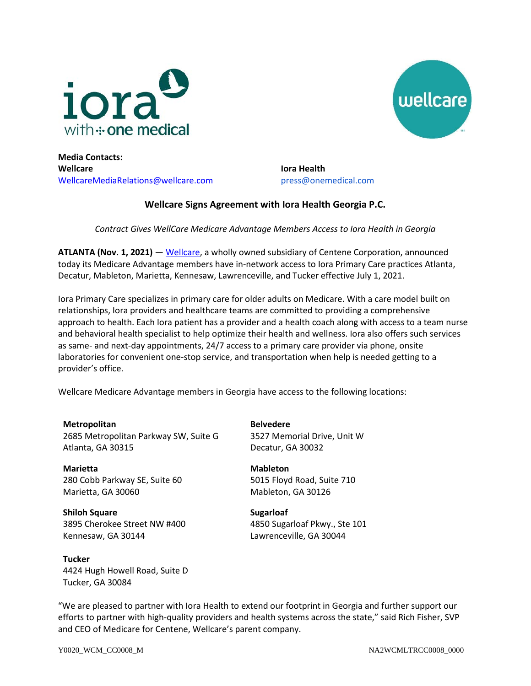



**Media Contacts: Wellcare** [WellcareMediaRelations@wellcare.com](mailto:WellcareMediaRelations@wellcare.com)

**Iora Health**  [press@onemedical.com](mailto:press@onemedical.com)

## **Wellcare Signs Agreement with Iora Health Georgia P.C.**

*Contract Gives WellCare Medicare Advantage Members Access to Iora Health in Georgia*

**ATLANTA (Nov. 1, 2021)** — [Wellcare,](http://www.wellcare.com/) a wholly owned subsidiary of Centene Corporation, announced today its Medicare Advantage members have in-network access to Iora Primary Care practices Atlanta, Decatur, Mableton, Marietta, Kennesaw, Lawrenceville, and Tucker effective July 1, 2021.

Iora Primary Care specializes in primary care for older adults on Medicare. With a care model built on relationships, Iora providers and healthcare teams are committed to providing a comprehensive approach to health. Each Iora patient has a provider and a health coach along with access to a team nurse and behavioral health specialist to help optimize their health and wellness. Iora also offers such services as same- and next-day appointments, 24/7 access to a primary care provider via phone, onsite laboratories for convenient one-stop service, and transportation when help is needed getting to a provider's office.

Wellcare Medicare Advantage members in Georgia have access to the following locations:

**Metropolitan** 2685 Metropolitan Parkway SW, Suite G Atlanta, GA 30315

**Marietta** 280 Cobb Parkway SE, Suite 60 Marietta, GA 30060

**Shiloh Square** 3895 Cherokee Street NW #400 Kennesaw, GA 30144

**Tucker** 4424 Hugh Howell Road, Suite D Tucker, GA 30084

**Belvedere** 3527 Memorial Drive, Unit W Decatur, GA 30032

**Mableton** 5015 Floyd Road, Suite 710 Mableton, GA 30126

**Sugarloaf** 4850 Sugarloaf Pkwy., Ste 101 Lawrenceville, GA 30044

"We are pleased to partner with Iora Health to extend our footprint in Georgia and further support our efforts to partner with high-quality providers and health systems across the state," said Rich Fisher, SVP and CEO of Medicare for Centene, Wellcare's parent company.